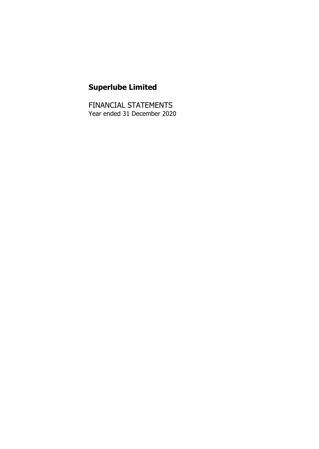## **Superlube Limited**

FINANCIAL STATEMENTS Year ended 31 December 2020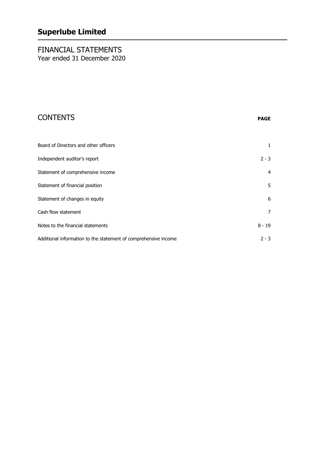## **Superlube Limited**

## FINANCIAL STATEMENTS Year ended 31 December 2020

| <b>CONTENTS</b> | <b>PAGE</b> |
|-----------------|-------------|
|-----------------|-------------|

| Board of Directors and other officers                           |          |
|-----------------------------------------------------------------|----------|
| Independent auditor's report                                    | $2 - 3$  |
| Statement of comprehensive income                               | 4        |
| Statement of financial position                                 | 5.       |
| Statement of changes in equity                                  | 6        |
| Cash flow statement                                             | 7        |
| Notes to the financial statements                               | $8 - 19$ |
| Additional information to the statement of comprehensive income | $2 - 3$  |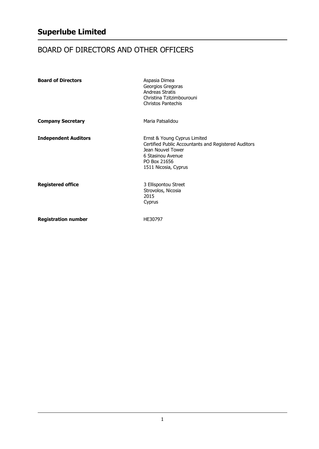## BOARD OF DIRECTORS AND OTHER OFFICERS

| <b>Board of Directors</b>   | Aspasia Dimea<br>Georgios Gregoras<br>Andreas Stratis<br>Christina Tzitzimbourouni<br><b>Christos Pantechis</b>                                                        |
|-----------------------------|------------------------------------------------------------------------------------------------------------------------------------------------------------------------|
| <b>Company Secretary</b>    | Maria Patsalidou                                                                                                                                                       |
| <b>Independent Auditors</b> | Ernst & Young Cyprus Limited<br>Certified Public Accountants and Registered Auditors<br>Jean Nouvel Tower<br>6 Stasinou Avenue<br>PO Box 21656<br>1511 Nicosia, Cyprus |
| <b>Registered office</b>    | 3 Ellispontou Street<br>Strovolos, Nicosia<br>2015<br>Cyprus                                                                                                           |
| <b>Registration number</b>  | HE30797                                                                                                                                                                |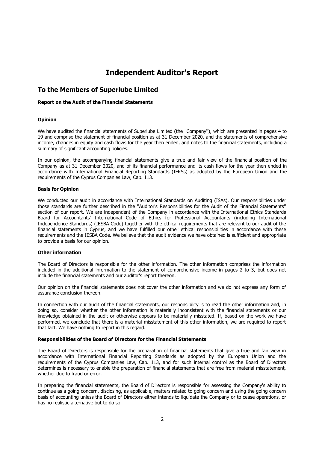## **Independent Auditor's Report**

### **To the Members of Superlube Limited**

#### **Report on the Audit of the Financial Statements**

#### **Opinion**

We have audited the financial statements of Superlube Limited (the ''Company''), which are presented in pages 4 to 19 and comprise the statement of financial position as at 31 December 2020, and the statements of comprehensive income, changes in equity and cash flows for the year then ended, and notes to the financial statements, including a summary of significant accounting policies.

In our opinion, the accompanying financial statements give a true and fair view of the financial position of the Company as at 31 December 2020, and of its financial performance and its cash flows for the year then ended in accordance with International Financial Reporting Standards (IFRSs) as adopted by the European Union and the requirements of the Cyprus Companies Law, Cap. 113.

#### **Basis for Opinion**

We conducted our audit in accordance with International Standards on Auditing (ISAs). Our responsibilities under those standards are further described in the ''Auditor's Responsibilities for the Audit of the Financial Statements'' section of our report. We are independent of the Company in accordance with the International Ethics Standards Board for Accountants' International Code of Ethics for Professional Accountants (including International Independence Standards) (IESBA Code) together with the ethical requirements that are relevant to our audit of the financial statements in Cyprus, and we have fulfilled our other ethical responsibilities in accordance with these requirements and the IESBA Code. We believe that the audit evidence we have obtained is sufficient and appropriate to provide a basis for our opinion.

#### **Other information**

The Board of Directors is responsible for the other information. The other information comprises the information included in the additional information to the statement of comprehensive income in pages 2 to 3, but does not include the financial statements and our auditor's report thereon.

Our opinion on the financial statements does not cover the other information and we do not express any form of assurance conclusion thereon.

In connection with our audit of the financial statements, our responsibility is to read the other information and, in doing so, consider whether the other information is materially inconsistent with the financial statements or our knowledge obtained in the audit or otherwise appears to be materially misstated. If, based on the work we have performed, we conclude that there is a material misstatement of this other information, we are required to report that fact. We have nothing to report in this regard.

#### **Responsibilities of the Board of Directors for the Financial Statements**

The Board of Directors is responsible for the preparation of financial statements that give a true and fair view in accordance with International Financial Reporting Standards as adopted by the European Union and the requirements of the Cyprus Companies Law, Cap. 113, and for such internal control as the Board of Directors determines is necessary to enable the preparation of financial statements that are free from material misstatement, whether due to fraud or error.

In preparing the financial statements, the Board of Directors is responsible for assessing the Company's ability to continue as a going concern, disclosing, as applicable, matters related to going concern and using the going concern basis of accounting unless the Board of Directors either intends to liquidate the Company or to cease operations, or has no realistic alternative but to do so.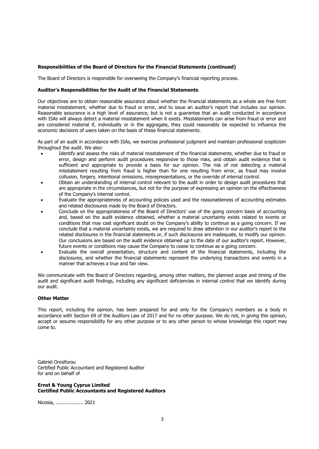#### **Responsibilities of the Board of Directors for the Financial Statements (continued)**

The Board of Directors is responsible for overseeing the Company's financial reporting process.

#### **Auditor's Responsibilities for the Audit of the Financial Statements**

Our objectives are to obtain reasonable assurance about whether the financial statements as a whole are free from material misstatement, whether due to fraud or error, and to issue an auditor's report that includes our opinion. Reasonable assurance is a high level of assurance, but is not a guarantee that an audit conducted in accordance with ISAs will always detect a material misstatement when it exists. Misstatements can arise from fraud or error and are considered material if, individually or in the aggregate, they could reasonably be expected to influence the economic decisions of users taken on the basis of these financial statements.

As part of an audit in accordance with ISAs, we exercise professional judgment and maintain professional scepticism throughout the audit. We also:

- Identify and assess the risks of material misstatement of the financial statements, whether due to fraud or error, design and perform audit procedures responsive to those risks, and obtain audit evidence that is sufficient and appropriate to provide a basis for our opinion. The risk of not detecting a material misstatement resulting from fraud is higher than for one resulting from error, as fraud may involve collusion, forgery, intentional omissions, misrepresentations, or the override of internal control.
- Obtain an understanding of internal control relevant to the audit in order to design audit procedures that are appropriate in the circumstances, but not for the purpose of expressing an opinion on the effectiveness of the Company's internal control.
- Evaluate the appropriateness of accounting policies used and the reasonableness of accounting estimates and related disclosures made by the Board of Directors.
- Conclude on the appropriateness of the Board of Directors' use of the going concern basis of accounting and, based on the audit evidence obtained, whether a material uncertainty exists related to events or conditions that may cast significant doubt on the Company's ability to continue as a going concern. If we conclude that a material uncertainty exists, we are required to draw attention in our auditor's report to the related disclosures in the financial statements or, if such disclosures are inadequate, to modify our opinion. Our conclusions are based on the audit evidence obtained up to the date of our auditor's report. However, future events or conditions may cause the Company to cease to continue as a going concern.
- Evaluate the overall presentation, structure and content of the financial statements, including the disclosures, and whether the financial statements represent the underlying transactions and events in a manner that achieves a true and fair view.

We communicate with the Board of Directors regarding, among other matters, the planned scope and timing of the audit and significant audit findings, including any significant deficiencies in internal control that we identify during our audit.

#### **Other Matter**

This report, including the opinion, has been prepared for and only for the Company's members as a body in accordance with Section 69 of the Auditors Law of 2017 and for no other purpose. We do not, in giving this opinion, accept or assume responsibility for any other purpose or to any other person to whose knowledge this report may come to.

Gabriel Onisiforou Certified Public Accountant and Registered Auditor for and on behalf of

#### **Ernst & Young Cyprus Limited Certified Public Accountants and Registered Auditors**

Nicosia, ................... 2021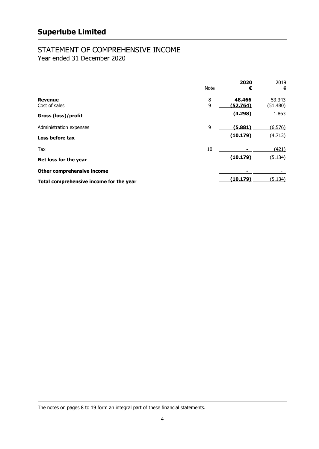# STATEMENT OF COMPREHENSIVE INCOME

Year ended 31 December 2020

|                                         |             | 2020     | 2019     |
|-----------------------------------------|-------------|----------|----------|
|                                         | <b>Note</b> | €        | €        |
| <b>Revenue</b>                          | 8           | 48.466   | 53.343   |
| Cost of sales                           | 9           | (52.764) | (51.480) |
| Gross (loss)/profit                     |             | (4.298)  | 1.863    |
| Administration expenses                 | 9           | (5.881)  | (6.576)  |
| Loss before tax                         |             | (10.179) | (4.713)  |
| Tax                                     | 10          |          | (421)    |
| Net loss for the year                   |             | (10.179) | (5.134)  |
| Other comprehensive income              |             |          |          |
| Total comprehensive income for the year |             | (10.179) | (5.134)  |

The notes on pages 8 to 19 form an integral part of these financial statements.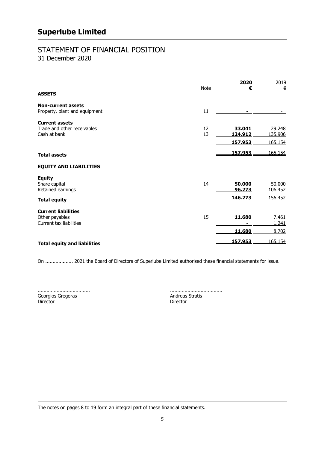## STATEMENT OF FINANCIAL POSITION

31 December 2020

|                                                                         | <b>Note</b> | 2020<br>€         | 2019<br>€         |
|-------------------------------------------------------------------------|-------------|-------------------|-------------------|
| <b>ASSETS</b>                                                           |             |                   |                   |
| <b>Non-current assets</b><br>Property, plant and equipment              | 11          |                   |                   |
| <b>Current assets</b><br>Trade and other receivables<br>Cash at bank    | 12<br>13    | 33.041<br>124.912 | 29.248<br>135.906 |
|                                                                         |             | 157.953           | 165.154           |
| <b>Total assets</b>                                                     |             | 157.953           | 165.154           |
| <b>EQUITY AND LIABILITIES</b>                                           |             |                   |                   |
| <b>Equity</b><br>Share capital<br>Retained earnings                     | 14          | 50,000<br>96.273  | 50.000<br>106.452 |
| <b>Total equity</b>                                                     |             | 146.273           | 156.452           |
| <b>Current liabilities</b><br>Other payables<br>Current tax liabilities | 15          | 11.680            | 7.461<br>1.241    |
|                                                                         |             | 11.680            | 8.702             |
| <b>Total equity and liabilities</b>                                     |             | 157.953           | 165.154           |

On ................... 2021 the Board of Directors of Superlube Limited authorised these financial statements for issue.

Georgios Gregoras **Andreas Stratis** Georgios Gregoras Director **Director** Director

.................................... ....................................

The notes on pages 8 to 19 form an integral part of these financial statements.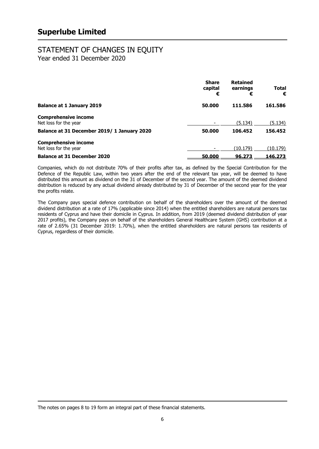## STATEMENT OF CHANGES IN EQUITY

Year ended 31 December 2020

|                                                      | <b>Share</b><br>capital<br>€ | <b>Retained</b><br>earnings<br>€ | <b>Total</b><br>€ |
|------------------------------------------------------|------------------------------|----------------------------------|-------------------|
| <b>Balance at 1 January 2019</b>                     | 50.000                       | 111.586                          | 161.586           |
| <b>Comprehensive income</b><br>Net loss for the year |                              | (5.134)                          | (5.134)           |
| Balance at 31 December 2019/1 January 2020           | 50.000                       | 106.452                          | 156.452           |
| <b>Comprehensive income</b><br>Net loss for the year |                              | (10.179)                         | (10.179)          |
| <b>Balance at 31 December 2020</b>                   | 50.000                       | 96.273                           | 146.273           |

Companies, which do not distribute 70% of their profits after tax, as defined by the Special Contribution for the Defence of the Republic Law, within two years after the end of the relevant tax year, will be deemed to have distributed this amount as dividend on the 31 of December of the second year. The amount of the deemed dividend distribution is reduced by any actual dividend already distributed by 31 of December of the second year for the year the profits relate.

The Company pays special defence contribution on behalf of the shareholders over the amount of the deemed dividend distribution at a rate of 17% (applicable since 2014) when the entitled shareholders are natural persons tax residents of Cyprus and have their domicile in Cyprus. In addition, from 2019 (deemed dividend distribution of year 2017 profits), the Company pays on behalf of the shareholders General Healthcare System (GHS) contribution at a rate of 2.65% (31 December 2019: 1.70%), when the entitled shareholders are natural persons tax residents of Cyprus, regardless of their domicile.

The notes on pages 8 to 19 form an integral part of these financial statements.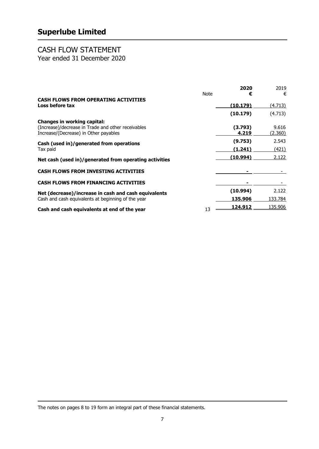## CASH FLOW STATEMENT

Year ended 31 December 2020

|                                                                                                                            | <b>Note</b> | 2020<br>€        | 2019<br>€               |
|----------------------------------------------------------------------------------------------------------------------------|-------------|------------------|-------------------------|
| <b>CASH FLOWS FROM OPERATING ACTIVITIES</b>                                                                                |             |                  |                         |
| Loss before tax                                                                                                            |             | (10.179)         | (4.713)                 |
|                                                                                                                            |             | (10.179)         | (4.713)                 |
| Changes in working capital:<br>(Increase)/decrease in Trade and other receivables<br>Increase/(Decrease) in Other payables |             | (3.793)<br>4.219 | 9.616<br><u>(2.360)</u> |
| Cash (used in)/generated from operations                                                                                   |             | (9.753)          | 2.543                   |
| Tax paid                                                                                                                   |             | (1.241)          | (421)                   |
| Net cash (used in)/generated from operating activities                                                                     |             | (10.994)         | 2.122                   |
| <b>CASH FLOWS FROM INVESTING ACTIVITIES</b>                                                                                |             |                  |                         |
| <b>CASH FLOWS FROM FINANCING ACTIVITIES</b>                                                                                |             |                  |                         |
| Net (decrease)/increase in cash and cash equivalents                                                                       |             | (10.994)         | 2.122                   |
| Cash and cash equivalents at beginning of the year                                                                         |             | 135.906          | 133.784                 |
| Cash and cash equivalents at end of the year                                                                               | 13          | 124.912          | <u>135.906 </u>         |

The notes on pages 8 to 19 form an integral part of these financial statements.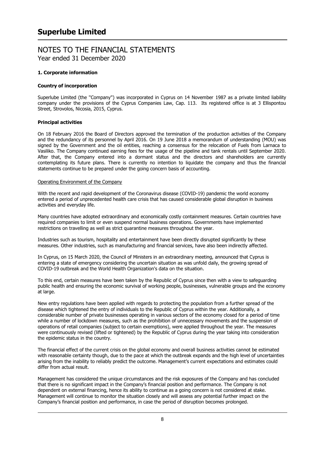#### **1. Corporate information**

#### **Country of incorporation**

Superlube Limited (the ''Company'') was incorporated in Cyprus on 14 November 1987 as a private limited liability company under the provisions of the Cyprus Companies Law, Cap. 113. Its registered office is at 3 Ellispontou Street, Strovolos, Nicosia, 2015, Cyprus.

#### **Principal activities**

On 18 February 2016 the Board of Directors approved the termination of the production activities of the Company and the redundancy of its personnel by April 2016. On 19 June 2018 a memorandum of understanding (MOU) was signed by the Government and the oil entities, reaching a consensus for the relocation of Fuels from Larnaca to Vasiliko. The Company continued earning fees for the usage of the pipeline and tank rentals until September 2020. After that, the Company entered into a dormant status and the directors and shareholders are currently contemplating its future plans. There is currently no intention to liquidate the company and thus the financial statements continue to be prepared under the going concern basis of accounting.

#### Operating Environment of the Company

With the recent and rapid development of the Coronavirus disease (COVID-19) pandemic the world economy entered a period of unprecedented health care crisis that has caused considerable global disruption in business activities and everyday life.

Many countries have adopted extraordinary and economically costly containment measures. Certain countries have required companies to limit or even suspend normal business operations. Governments have implemented restrictions on travelling as well as strict quarantine measures throughout the year.

Industries such as tourism, hospitality and entertainment have been directly disrupted significantly by these measures. Other industries, such as manufacturing and financial services, have also been indirectly affected.

In Cyprus, on 15 March 2020, the Council of Ministers in an extraordinary meeting, announced that Cyprus is entering a state of emergency considering the uncertain situation as was unfold daily, the growing spread of COVID-19 outbreak and the World Health Organization's data on the situation.

To this end, certain measures have been taken by the Republic of Cyprus since then with a view to safeguarding public health and ensuring the economic survival of working people, businesses, vulnerable groups and the economy at large.

New entry regulations have been applied with regards to protecting the population from a further spread of the disease which tightened the entry of individuals to the Republic of Cyprus within the year. Additionally, a considerable number of private businesses operating in various sectors of the economy closed for a period of time while a number of lockdown measures, such as the prohibition of unnecessary movements and the suspension of operations of retail companies (subject to certain exemptions), were applied throughout the year. The measures were continuously revised (lifted or tightened) by the Republic of Cyprus during the year taking into consideration the epidemic status in the country.

The financial effect of the current crisis on the global economy and overall business activities cannot be estimated with reasonable certainty though, due to the pace at which the outbreak expands and the high level of uncertainties arising from the inability to reliably predict the outcome. Management's current expectations and estimates could differ from actual result.

Management has considered the unique circumstances and the risk exposures of the Company and has concluded that there is no significant impact in the Company's financial position and performance. The Company is not dependent on external financing, hence its ability to continue as a going concern is not considered at stake. Management will continue to monitor the situation closely and will assess any potential further impact on the Company's financial position and performance, in case the period of disruption becomes prolonged.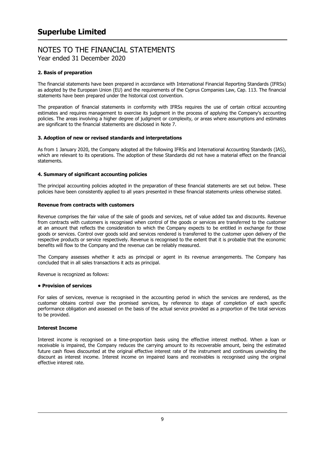#### **2. Basis of preparation**

The financial statements have been prepared in accordance with International Financial Reporting Standards (IFRSs) as adopted by the European Union (EU) and the requirements of the Cyprus Companies Law, Cap. 113. The financial statements have been prepared under the historical cost convention.

The preparation of financial statements in conformity with IFRSs requires the use of certain critical accounting estimates and requires management to exercise its judgment in the process of applying the Company's accounting policies. The areas involving a higher degree of judgment or complexity, or areas where assumptions and estimates are significant to the financial statements are disclosed in Note 7.

#### **3. Adoption of new or revised standards and interpretations**

As from 1 January 2020, the Company adopted all the following IFRSs and International Accounting Standards (IAS), which are relevant to its operations. The adoption of these Standards did not have a material effect on the financial statements.

#### **4. Summary of significant accounting policies**

The principal accounting policies adopted in the preparation of these financial statements are set out below. These policies have been consistently applied to all years presented in these financial statements unless otherwise stated.

#### **Revenue from contracts with customers**

Revenue comprises the fair value of the sale of goods and services, net of value added tax and discounts. Revenue from contracts with customers is recognised when control of the goods or services are transferred to the customer at an amount that reflects the consideration to which the Company expects to be entitled in exchange for those goods or services. Control over goods sold and services rendered is transferred to the customer upon delivery of the respective products or service respectively. Revenue is recognised to the extent that it is probable that the economic benefits will flow to the Company and the revenue can be reliably measured.

The Company assesses whether it acts as principal or agent in its revenue arrangements. The Company has concluded that in all sales transactions it acts as principal.

Revenue is recognized as follows:

#### **• Provision of services**

For sales of services, revenue is recognised in the accounting period in which the services are rendered, as the customer obtains control over the promised services, by reference to stage of completion of each specific performance obligation and assessed on the basis of the actual service provided as a proportion of the total services to be provided.

#### **Interest Income**

Interest income is recognised on a time-proportion basis using the effective interest method. When a loan or receivable is impaired, the Company reduces the carrying amount to its recoverable amount, being the estimated future cash flows discounted at the original effective interest rate of the instrument and continues unwinding the discount as interest income. Interest income on impaired loans and receivables is recognised using the original effective interest rate.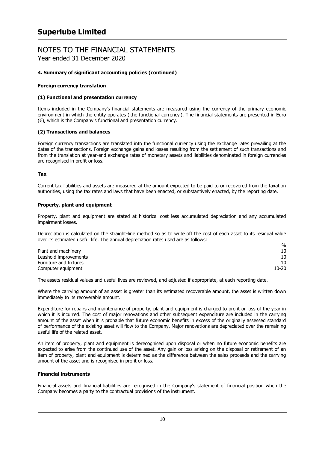#### **4. Summary of significant accounting policies (continued)**

#### **Foreign currency translation**

#### **(1) Functional and presentation currency**

Items included in the Company's financial statements are measured using the currency of the primary economic environment in which the entity operates ('the functional currency'). The financial statements are presented in Euro (€), which is the Company's functional and presentation currency.

#### **(2) Transactions and balances**

Foreign currency transactions are translated into the functional currency using the exchange rates prevailing at the dates of the transactions. Foreign exchange gains and losses resulting from the settlement of such transactions and from the translation at year-end exchange rates of monetary assets and liabilities denominated in foreign currencies are recognised in profit or loss.

#### **Tax**

Current tax liabilities and assets are measured at the amount expected to be paid to or recovered from the taxation authorities, using the tax rates and laws that have been enacted, or substantively enacted, by the reporting date.

#### **Property, plant and equipment**

Property, plant and equipment are stated at historical cost less accumulated depreciation and any accumulated impairment losses.

Depreciation is calculated on the straight-line method so as to write off the cost of each asset to its residual value over its estimated useful life. The annual depreciation rates used are as follows:

|                        | $\frac{0}{0}$ |
|------------------------|---------------|
| Plant and machinery    | 10            |
| Leashold improvements  | 10            |
| Furniture and fixtures | 10            |
| Computer equipment     | 10-20         |

The assets residual values and useful lives are reviewed, and adjusted if appropriate, at each reporting date.

Where the carrying amount of an asset is greater than its estimated recoverable amount, the asset is written down immediately to its recoverable amount.

Expenditure for repairs and maintenance of property, plant and equipment is charged to profit or loss of the year in which it is incurred. The cost of major renovations and other subsequent expenditure are included in the carrying amount of the asset when it is probable that future economic benefits in excess of the originally assessed standard of performance of the existing asset will flow to the Company. Major renovations are depreciated over the remaining useful life of the related asset.

An item of property, plant and equipment is derecognised upon disposal or when no future economic benefits are expected to arise from the continued use of the asset. Any gain or loss arising on the disposal or retirement of an item of property, plant and equipment is determined as the difference between the sales proceeds and the carrying amount of the asset and is recognised in profit or loss.

#### **Financial instruments**

Financial assets and financial liabilities are recognised in the Company's statement of financial position when the Company becomes a party to the contractual provisions of the instrument.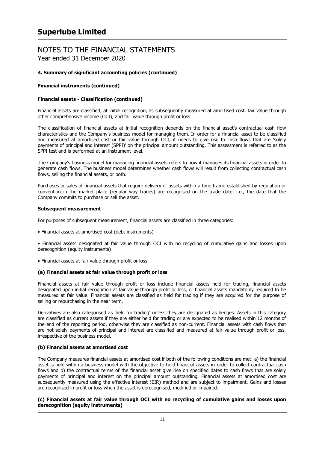#### **4. Summary of significant accounting policies (continued)**

#### **Financial instruments (continued)**

#### **Financial assets - Classification (continued)**

Financial assets are classified, at initial recognition, as subsequently measured at amortised cost, fair value through other comprehensive income (OCI), and fair value through profit or loss.

The classification of financial assets at initial recognition depends on the financial asset's contractual cash flow characteristics and the Company's business model for managing them. In order for a financial asset to be classified and measured at amortised cost or fair value through OCI, it needs to give rise to cash flows that are 'solely payments of principal and interest (SPPI)' on the principal amount outstanding. This assessment is referred to as the SPPI test and is performed at an instrument level.

The Company's business model for managing financial assets refers to how it manages its financial assets in order to generate cash flows. The business model determines whether cash flows will result from collecting contractual cash flows, selling the financial assets, or both.

Purchases or sales of financial assets that require delivery of assets within a time frame established by regulation or convention in the market place (regular way trades) are recognised on the trade date, i.e., the date that the Company commits to purchase or sell the asset.

#### **Subsequent measurement**

For purposes of subsequent measurement, financial assets are classified in three categories:

• Financial assets at amortised cost (debt instruments)

• Financial assets designated at fair value through OCI with no recycling of cumulative gains and losses upon derecognition (equity instruments)

• Financial assets at fair value through profit or loss

#### **(a) Financial assets at fair value through profit or loss**

Financial assets at fair value through profit or loss include financial assets held for trading, financial assets designated upon initial recognition at fair value through profit or loss, or financial assets mandatorily required to be measured at fair value. Financial assets are classified as held for trading if they are acquired for the purpose of selling or repurchasing in the near term.

Derivatives are also categorised as 'held for trading' unless they are designated as hedges. Assets in this category are classified as current assets if they are either held for trading or are expected to be realised within 12 months of the end of the reporting period, otherwise they are classified as non-current. Financial assets with cash flows that are not solely payments of principal and interest are classified and measured at fair value through profit or loss, irrespective of the business model.

#### **(b) Financial assets at amortised cost**

The Company measures financial assets at amortised cost if both of the following conditions are met: a) the financial asset is held within a business model with the objective to hold financial assets in order to collect contractual cash flows and b) the contractual terms of the financial asset give rise on specified dates to cash flows that are solely payments of principal and interest on the principal amount outstanding. Financial assets at amortised cost are subsequently measured using the effective interest (EIR) method and are subject to impairment. Gains and losses are recognised in profit or loss when the asset is derecognised, modified or impaired.

#### **(c) Financial assets at fair value through OCI with no recycling of cumulative gains and losses upon derecognition (equity instruments)**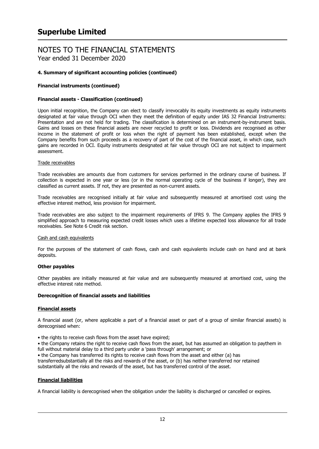#### **4. Summary of significant accounting policies (continued)**

#### **Financial instruments (continued)**

#### **Financial assets - Classification (continued)**

Upon initial recognition, the Company can elect to classify irrevocably its equity investments as equity instruments designated at fair value through OCI when they meet the definition of equity under IAS 32 Financial Instruments: Presentation and are not held for trading. The classification is determined on an instrument-by-instrument basis. Gains and losses on these financial assets are never recycled to profit or loss. Dividends are recognised as other income in the statement of profit or loss when the right of payment has been established, except when the Company benefits from such proceeds as a recovery of part of the cost of the financial asset, in which case, such gains are recorded in OCI. Equity instruments designated at fair value through OCI are not subject to impairment assessment.

#### Trade receivables

Trade receivables are amounts due from customers for services performed in the ordinary course of business. If collection is expected in one year or less (or in the normal operating cycle of the business if longer), they are classified as current assets. If not, they are presented as non-current assets.

Trade receivables are recognised initially at fair value and subsequently measured at amortised cost using the effective interest method, less provision for impairment.

Trade receivables are also subject to the impairment requirements of IFRS 9. The Company applies the IFRS 9 simplified approach to measuring expected credit losses which uses a lifetime expected loss allowance for all trade receivables. See Note 6 Credit risk section.

#### Cash and cash equivalents

For the purposes of the statement of cash flows, cash and cash equivalents include cash on hand and at bank deposits.

#### **Other payables**

Other payables are initially measured at fair value and are subsequently measured at amortised cost, using the effective interest rate method.

#### **Derecognition of financial assets and liabilities**

#### **Financial assets**

A financial asset (or, where applicable a part of a financial asset or part of a group of similar financial assets) is derecognised when:

• the rights to receive cash flows from the asset have expired;

• the Company retains the right to receive cash flows from the asset, but has assumed an obligation to paythem in full without material delay to a third party under a 'pass through' arrangement; or

• the Company has transferred its rights to receive cash flows from the asset and either (a) has

transferredsubstantially all the risks and rewards of the asset, or (b) has neither transferred nor retained substantially all the risks and rewards of the asset, but has transferred control of the asset.

**Financial liabilities**

A financial liability is derecognised when the obligation under the liability is discharged or cancelled or expires.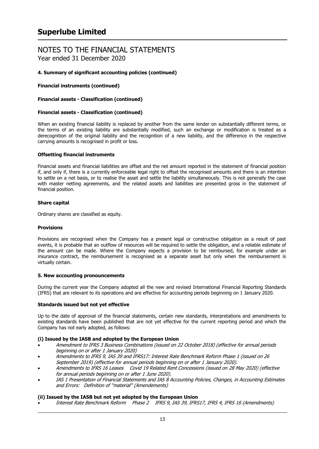#### **4. Summary of significant accounting policies (continued)**

#### **Financial instruments (continued)**

#### **Financial assets - Classification (continued)**

#### **Financial assets - Classification (continued)**

When an existing financial liability is replaced by another from the same lender on substantially different terms, or the terms of an existing liability are substantially modified, such an exchange or modification is treated as a derecognition of the original liability and the recognition of a new liability, and the difference in the respective carrying amounts is recognised in profit or loss.

#### **Offsetting financial instruments**

Financial assets and financial liabilities are offset and the net amount reported in the statement of financial position if, and only if, there is a currently enforceable legal right to offset the recognised amounts and there is an intention to settle on a net basis, or to realise the asset and settle the liability simultaneously. This is not generally the case with master netting agreements, and the related assets and liabilities are presented gross in the statement of financial position.

#### **Share capital**

Ordinary shares are classified as equity.

#### **Provisions**

Provisions are recognised when the Company has a present legal or constructive obligation as a result of past events, it is probable that an outflow of resources will be required to settle the obligation, and a reliable estimate of the amount can be made. Where the Company expects a provision to be reimbursed, for example under an insurance contract, the reimbursement is recognised as a separate asset but only when the reimbursement is virtually certain.

#### **5. New accounting pronouncements**

During the current year the Company adopted all the new and revised International Financial Reporting Standards (IFRS) that are relevant to its operations and are effective for accounting periods beginning on 1 January 2020.

#### **Standards issued but not yet effective**

Up to the date of approval of the financial statements, certain new standards, interpretations and amendments to existing standards have been published that are not yet effective for the current reporting period and which the Company has not early adopted, as follows:

#### **(i) Issued by the IASB and adopted by the European Union**

- Amendment to IFRS 3 Business Combinations (issued on 22 October 2018) (effective for annual periods beginning on or after 1 January 2020)
- Amendments to IFRS 9, IAS 39 and IFRS17: Interest Rate Benchmark Reform Phase 1 (issued on 26 September 2019) (effective for annual periods beginning on or after 1 January 2020).
- Amendments to IFRS 16 Leases Covid 19 Related Rent Concessions (issued on 28 May 2020) (effective for annual periods beginning on or after 1 June 2020).
- IAS 1 Presentation of Financial Statements and IAS 8 Accounting Policies, Changes, in Accounting Estimates and Errors: Definition of ''material'' (Amendements)

#### **(ii) Issued by the IASB but not yet adopted by the European Union**

Interest Rate Benchmark Reform Phase 2 IFRS 9, IAS 39, IFRS17, IFRS 4, IFRS 16 (Amendments)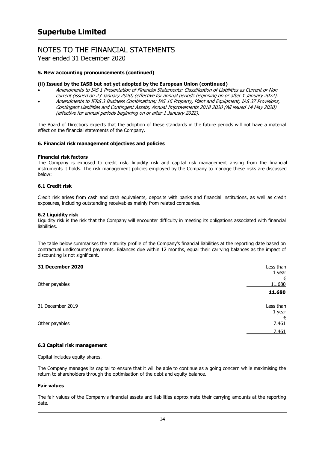#### **5. New accounting pronouncements (continued)**

#### **(ii) Issued by the IASB but not yet adopted by the European Union (continued)**

- Amendments to IAS 1 Presentation of Financial Statements: Classification of Liabilities as Current or Non current (issued on 23 January 2020) (effective for annual periods beginning on or after 1 January 2022).
- Amendments to IFRS 3 Business Combinations; IAS 16 Property, Plant and Equipment; IAS 37 Provisions, Contingent Liabilities and Contingent Assets; Annual Improvements 2018 2020 (All issued 14 May 2020) (effective for annual periods beginning on or after 1 January 2022).

The Board of Directiors expects that the adoption of these standards in the future periods will not have a material effect on the financial statements of the Company.

#### **6. Financial risk management objectives and policies**

#### **Financial risk factors**

The Company is exposed to credit risk, liquidity risk and capital risk management arising from the financial instruments it holds. The risk management policies employed by the Company to manage these risks are discussed below:

#### **6.1 Credit risk**

Credit risk arises from cash and cash equivalents, deposits with banks and financial institutions, as well as credit exposures, including outstanding receivables mainly from related companies.

#### **6.2 Liquidity risk**

Liquidity risk is the risk that the Company will encounter difficulty in meeting its obligations associated with financial liabilities.

The table below summarises the maturity profile of the Company's financial liabilities at the reporting date based on contractual undiscounted payments. Balances due within 12 months, equal their carrying balances as the impact of discounting is not significant.

#### **31 December 2020** Less than

|                  | 1 year              |
|------------------|---------------------|
| Other payables   | €<br>11.680         |
|                  | 11,680              |
| 31 December 2019 | Less than<br>1 year |
| Other payables   | €<br>7.461          |
|                  | 7.461               |

#### **6.3 Capital risk management**

Capital includes equity shares.

The Company manages its capital to ensure that it will be able to continue as a going concern while maximising the return to shareholders through the optimisation of the debt and equity balance.

#### **Fair values**

The fair values of the Company's financial assets and liabilities approximate their carrying amounts at the reporting date.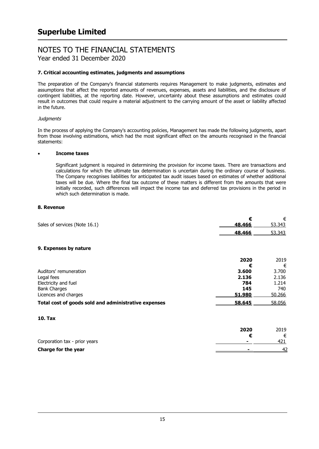#### **7. Critical accounting estimates, judgments and assumptions**

The preparation of the Company's financial statements requires Management to make judgments, estimates and assumptions that affect the reported amounts of revenues, expenses, assets and liabilities, and the disclosure of contingent liabilities, at the reporting date. However, uncertainty about these assumptions and estimates could result in outcomes that could require a material adjustment to the carrying amount of the asset or liability affected in the future.

#### **Judgments**

In the process of applying the Company's accounting policies, Management has made the following judgments, apart from those involving estimations, which had the most significant effect on the amounts recognised in the financial statements:

#### **Income taxes**

Significant judgment is required in determining the provision for income taxes. There are transactions and calculations for which the ultimate tax determination is uncertain during the ordinary course of business. The Company recognises liabilities for anticipated tax audit issues based on estimates of whether additional taxes will be due. Where the final tax outcome of these matters is different from the amounts that were initially recorded, such differences will impact the income tax and deferred tax provisions in the period in which such determination is made.

#### **8. Revenue**

|                                                      | €      | €      |
|------------------------------------------------------|--------|--------|
| Sales of services (Note 16.1)                        | 48.466 | 53.343 |
|                                                      | 48.466 | 53.343 |
| 9. Expenses by nature                                |        |        |
|                                                      | 2020   | 2019   |
|                                                      | €      | €      |
| Auditors' remuneration                               | 3.600  | 3.700  |
| Legal fees                                           | 2.136  | 2.136  |
| Electricity and fuel                                 | 784    | 1.214  |
| <b>Bank Charges</b>                                  | 145    | 740    |
| Licences and charges                                 | 51.980 | 50.266 |
| Total cost of goods sold and administrative expenses | 58.645 | 58.056 |
| <b>10. Tax</b>                                       |        |        |

|                               | ZUZU | 2019 |
|-------------------------------|------|------|
|                               |      |      |
| Corporation tax - prior years | -    | 42۱  |
| Charge for the year           |      |      |

**2020** 2019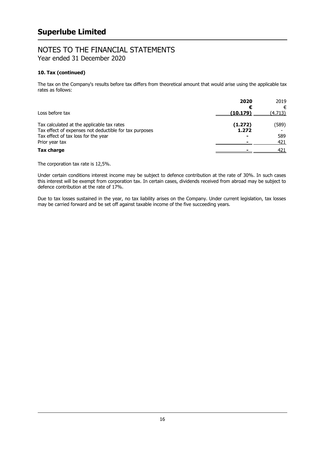#### **10. Tax (continued)**

The tax on the Company's results before tax differs from theoretical amount that would arise using the applicable tax rates as follows:

|                                                                                                      | 2020             | 2019<br>€ |
|------------------------------------------------------------------------------------------------------|------------------|-----------|
| Loss before tax                                                                                      | (10.179)         | (4.713)   |
| Tax calculated at the applicable tax rates<br>Tax effect of expenses not deductible for tax purposes | (1.272)<br>1.272 | (589)     |
| Tax effect of tax loss for the year                                                                  |                  | 589       |
| Prior year tax                                                                                       |                  | 421       |
| <b>Tax charge</b>                                                                                    |                  | 421       |

The corporation tax rate is 12,5%.

Under certain conditions interest income may be subject to defence contribution at the rate of 30%. In such cases this interest will be exempt from corporation tax. In certain cases, dividends received from abroad may be subject to defence contribution at the rate of 17%.

Due to tax losses sustained in the year, no tax liability arises on the Company. Under current legislation, tax losses may be carried forward and be set off against taxable income of the five succeeding years.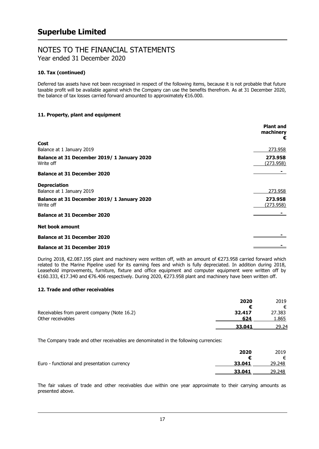#### **10. Tax (continued)**

Deferred tax assets have not been recognised in respect of the following items, because it is not probable that future taxable profit will be available against which the Company can use the benefits therefrom. As at 31 December 2020, the balance of tax losses carried forward amounted to approximately €16.000.

#### **11. Property, plant and equipment**

|                                                          | <b>Plant and</b><br>machinery<br>€ |
|----------------------------------------------------------|------------------------------------|
| Cost                                                     |                                    |
| Balance at 1 January 2019                                | 273.958                            |
| Balance at 31 December 2019/ 1 January 2020<br>Write off | 273.958<br><u>(273.958)</u>        |
| <b>Balance at 31 December 2020</b>                       |                                    |
| <b>Depreciation</b><br>Balance at 1 January 2019         | 273.958                            |
| Balance at 31 December 2019/ 1 January 2020<br>Write off | 273.958<br><u>(273.958)</u>        |
| <b>Balance at 31 December 2020</b>                       |                                    |
| <b>Net book amount</b>                                   |                                    |
| <b>Balance at 31 December 2020</b>                       |                                    |
| <b>Balance at 31 December 2019</b>                       |                                    |

During 2018, €2.087.195 plant and machinery were written off, with an amount of €273.958 carried forward which related to the Marine Pipeline used for its earning fees and which is fully depreciated. In addition during 2018, Leasehold improvements, furniture, fixture and office equipment and computer equipment were written off by €160.333, €17.340 and €76.406 respectively. During 2020, €273.958 plant and machinery have been written off.

#### **12. Trade and other receivables**

|                                             | 2020   | 2019   |
|---------------------------------------------|--------|--------|
|                                             |        |        |
| Receivables from parent company (Note 16.2) | 32.417 | 27.383 |
| Other receivables                           | 624    | 1.865  |
|                                             | 33.041 | 29.24  |

The Company trade and other receivables are denominated in the following currencies:

|                                             | 2020   | 2019   |
|---------------------------------------------|--------|--------|
|                                             |        | €      |
| Euro - functional and presentation currency | 33.041 | 29.248 |
|                                             | 33.041 | 29.248 |

The fair values of trade and other receivables due within one year approximate to their carrying amounts as presented above.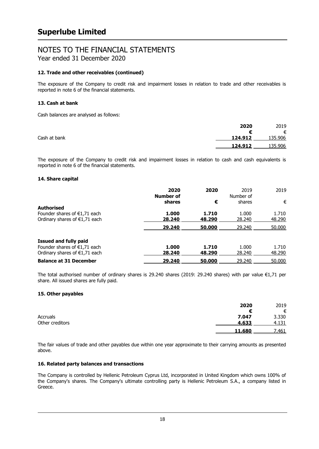#### **12. Trade and other receivables (continued)**

The exposure of the Company to credit risk and impairment losses in relation to trade and other receivables is reported in note 6 of the financial statements.

#### **13. Cash at bank**

Cash balances are analysed as follows:

|              | 2020    | 2019<br>€ |
|--------------|---------|-----------|
| Cash at bank | 124.912 | 135.906   |
|              | 124.912 | 135.906   |

The exposure of the Company to credit risk and impairment losses in relation to cash and cash equivalents is reported in note 6 of the financial statements.

#### **14. Share capital**

|                                                                                                   | 2020<br><b>Number of</b><br>shares | 2020<br>€       | 2019<br>Number of<br>shares | 2019<br>€       |
|---------------------------------------------------------------------------------------------------|------------------------------------|-----------------|-----------------------------|-----------------|
| <b>Authorised</b><br>Founder shares of $\epsilon$ 1,71 each<br>Ordinary shares of $E1,71$ each    | 1.000<br>28.240                    | 1.710<br>48.290 | 1.000<br>28.240             | 1.710<br>48.290 |
|                                                                                                   | 29.240                             | 50,000          | 29.240                      | 50.000          |
| <b>Issued and fully paid</b><br>Founder shares of $E1,71$ each<br>Ordinary shares of $E1,71$ each | 1.000<br>28.240                    | 1.710<br>48.290 | 1.000<br>28,240             | 1.710<br>48.290 |
| <b>Balance at 31 December</b>                                                                     | 29.240                             | 50,000          | 29.240                      | 50.000          |

The total authorised number of ordinary shares is 29.240 shares (2019: 29.240 shares) with par value €1,71 per share. All issued shares are fully paid.

#### **15. Other payables**

|                 | 2020   | 2019  |
|-----------------|--------|-------|
|                 | €      | €     |
| Accruals        | 7.047  | 3.330 |
| Other creditors | 4.633  | 4.131 |
|                 | 11.680 | 7.461 |

The fair values of trade and other payables due within one year approximate to their carrying amounts as presented above.

#### **16. Related party balances and transactions**

The Company is controlled by Hellenic Petroleum Cyprus Ltd, incorporated in United Kingdom which owns 100% of the Company's shares. The Company's ultimate controlling party is Hellenic Petroleum S.A., a company listed in Greece.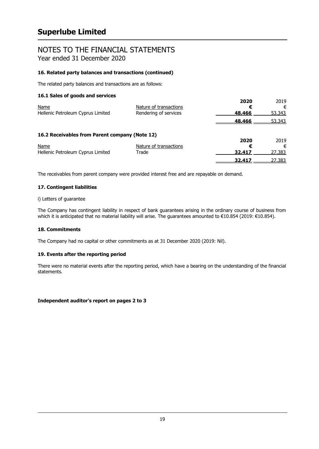### **16. Related party balances and transactions (continued)**

The related party balances and transactions are as follows:

#### **16.1 Sales of goods and services**

|                                                |                        | 2020   | 2019            |
|------------------------------------------------|------------------------|--------|-----------------|
| Name                                           | Nature of transactions | €      | €               |
| Hellenic Petroleum Cyprus Limited              | Rendering of services  | 48.466 | 53.343          |
|                                                |                        | 48.466 | 53.343          |
| 16.2 Receivables from Parent company (Note 12) |                        | 2020   | 2019            |
| Name                                           | Nature of transactions | €      | €               |
| Hellenic Petroleum Cyprus Limited              | Trade                  | 32.417 | 27.383          |
|                                                |                        | 32.417 | <u> 27.383 </u> |
|                                                |                        |        |                 |

The receivables from parent company were provided interest free and are repayable on demand.

#### **17. Contingent liabilities**

i) Letters of guarantee

The Company has contingent liability in respect of bank guarantees arising in the ordinary course of business from which it is anticipated that no material liability will arise. The guarantees amounted to €10.854 (2019: €10.854).

#### **18. Commitments**

The Company had no capital or other commitments as at 31 December 2020 (2019: Nil).

#### **19. Events after the reporting period**

There were no material events after the reporting period, which have a bearing on the understanding of the financial statements.

**Independent auditor's report on pages 2 to 3**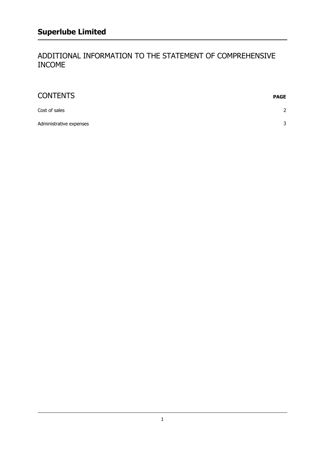## ADDITIONAL INFORMATION TO THE STATEMENT OF COMPREHENSIVE INCOME

| <b>CONTENTS</b>         | <b>PAGE</b>    |
|-------------------------|----------------|
| Cost of sales           | $\overline{2}$ |
| Administrative expenses | 3              |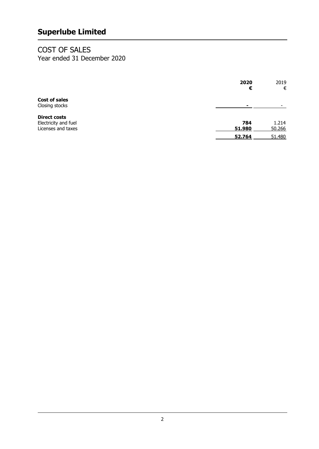## **Superlube Limited**

## COST OF SALES Year ended 31 December 2020

|                                                                   | 2020<br>€     | 2019<br>€       |
|-------------------------------------------------------------------|---------------|-----------------|
| <b>Cost of sales</b><br>Closing stocks                            |               |                 |
| <b>Direct costs</b><br>Electricity and fuel<br>Licenses and taxes | 784<br>51.980 | 1.214<br>50.266 |
|                                                                   | 52.764        | 51.480          |